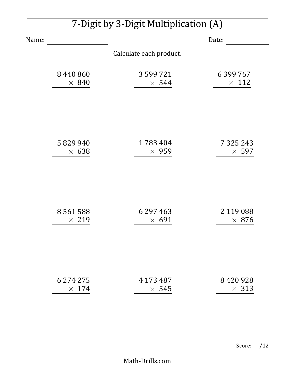## 7-Digit by 3-Digit Multiplication (A)

| Name:        | Date:                   |               |
|--------------|-------------------------|---------------|
|              | Calculate each product. |               |
| 8440860      | 3 599 721               | 6 399 767     |
| $\times$ 840 | $\times$ 544            | $\times$ 112  |
| 5829940      | 1783404                 | 7 3 2 5 2 4 3 |
| $\times$ 638 | $\times$ 959            | $\times$ 597  |
| 8561588      | 6 297 4 63              | 2 119 088     |
| $\times$ 219 | $\times$ 691            | $\times$ 876  |
| 6 274 275    | 4 173 487               | 8420928       |
| $\times$ 174 | $\times$ 545            | $\times$ 313  |

Score: /12